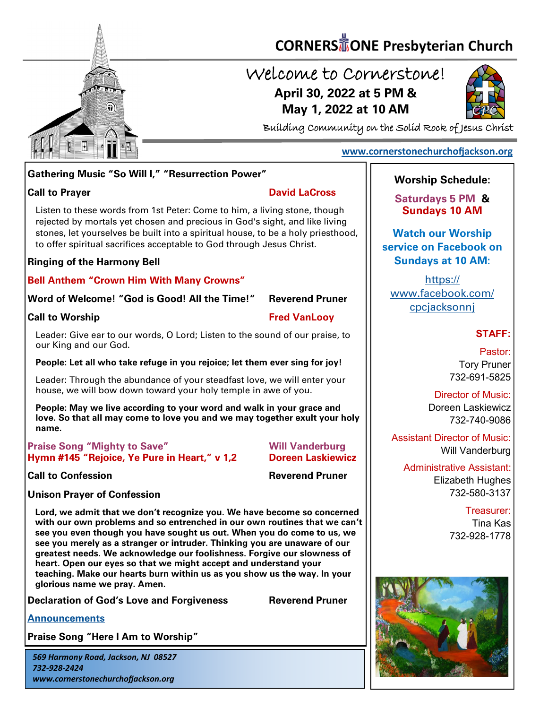

# **CORNERS** TONE Presbyterian Church

# Welcome to Cornerstone! **April 30, 2022 at 5 PM & May 1, 2022 at 10 AM**



Building Community on the Solid Rock of Jesus Christ

#### **[www.cornerstonechurchofjackson.org](http://www.cornerstonechurchofjackson.org)**

## **Gathering Music "So Will I," "Resurrection Power"**

#### **Call to Prayer David LaCross**

 rejected by mortals yet chosen and precious in God's sight, and like living Listen to these words from 1st Peter: Come to him, a living stone, though stones, let yourselves be built into a spiritual house, to be a holy priesthood, to offer spiritual sacrifices acceptable to God through Jesus Christ.

#### **Ringing of the Harmony Bell**

#### **Bell Anthem "Crown Him With Many Crowns"**

**Word of Welcome! "God is Good! All the Time!" Reverend Pruner**

#### **Call to Worship Fred VanLoov**

Leader: Give ear to our words, O Lord; Listen to the sound of our praise, to our King and our God.

**People: Let all who take refuge in you rejoice; let them ever sing for joy!**

Leader: Through the abundance of your steadfast love, we will enter your house, we will bow down toward your holy temple in awe of you.

**People: May we live according to your word and walk in your grace and love. So that all may come to love you and we may together exult your holy name.**

#### **Praise Song "Mighty to Save" Will Vanderburg Hymn #145 "Rejoice, Ye Pure in Heart," v 1,2 Doreen Laskiewicz**

**Call to Confession Reverend Pruner** 

**Unison Prayer of Confession**

**Lord, we admit that we don't recognize you. We have become so concerned with our own problems and so entrenched in our own routines that we can't see you even though you have sought us out. When you do come to us, we see you merely as a stranger or intruder. Thinking you are unaware of our greatest needs. We acknowledge our foolishness. Forgive our slowness of heart. Open our eyes so that we might accept and understand your teaching. Make our hearts burn within us as you show us the way. In your glorious name we pray. Amen.**

**Declaration of God's Love and Forgiveness <b>Reverend Pruner** 

**[Announcements](http://cornerstonechurchofjackson.org/?page_id=2)**

**Praise Song "Here I Am to Worship"** 

## **Worship Schedule:**

**Saturdays 5 PM & Sundays 10 AM**

**Watch our Worship service on Facebook on Sundays at 10 AM:**

[https://](https://www.facebook.com/cpcjacksonnj) [www.facebook.com/](https://www.facebook.com/cpcjacksonnj) [cpcjacksonnj](https://www.facebook.com/cpcjacksonnj)

### **STAFF:**

Pastor: Tory Pruner 732-691-5825

Director of Music: Doreen Laskiewicz 732-740-9086

Assistant Director of Music: Will Vanderburg

Administrative Assistant: Elizabeth Hughes 732-580-3137

> Treasurer: Tina Kas 732-928-1778